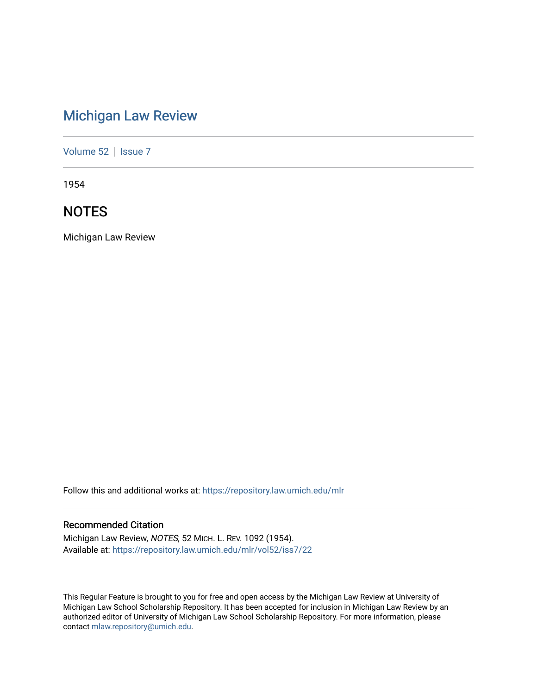# [Michigan Law Review](https://repository.law.umich.edu/mlr)

[Volume 52](https://repository.law.umich.edu/mlr/vol52) | [Issue 7](https://repository.law.umich.edu/mlr/vol52/iss7)

1954

# **NOTES**

Michigan Law Review

Follow this and additional works at: [https://repository.law.umich.edu/mlr](https://repository.law.umich.edu/mlr?utm_source=repository.law.umich.edu%2Fmlr%2Fvol52%2Fiss7%2F22&utm_medium=PDF&utm_campaign=PDFCoverPages) 

# Recommended Citation

Michigan Law Review, NOTES, 52 MICH. L. REV. 1092 (1954). Available at: [https://repository.law.umich.edu/mlr/vol52/iss7/22](https://repository.law.umich.edu/mlr/vol52/iss7/22?utm_source=repository.law.umich.edu%2Fmlr%2Fvol52%2Fiss7%2F22&utm_medium=PDF&utm_campaign=PDFCoverPages) 

This Regular Feature is brought to you for free and open access by the Michigan Law Review at University of Michigan Law School Scholarship Repository. It has been accepted for inclusion in Michigan Law Review by an authorized editor of University of Michigan Law School Scholarship Repository. For more information, please contact [mlaw.repository@umich.edu](mailto:mlaw.repository@umich.edu).